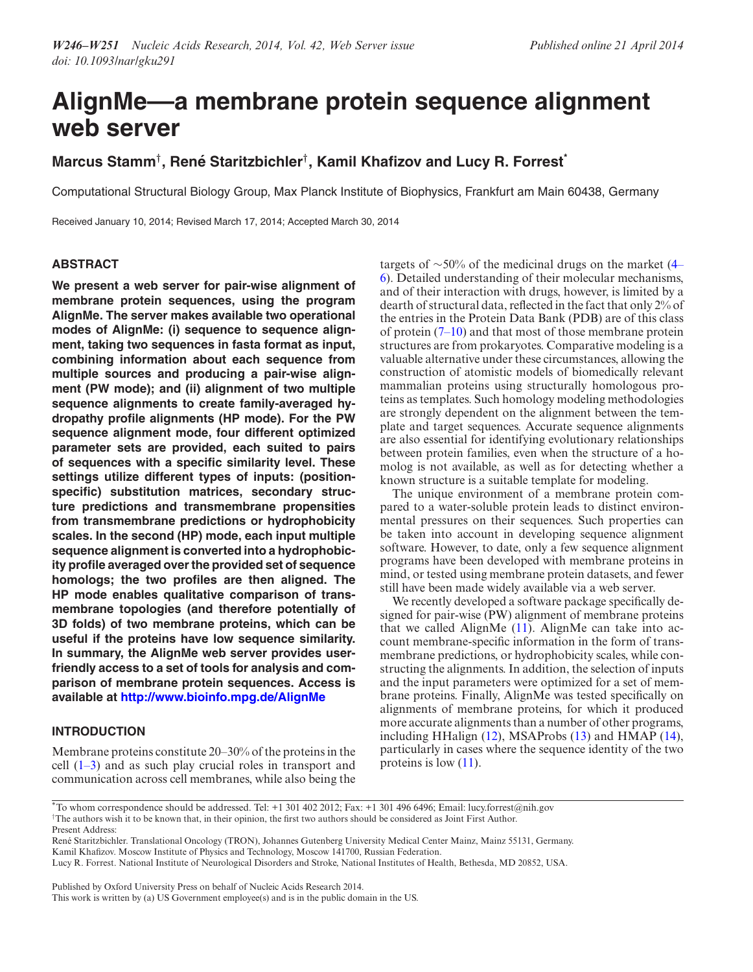# **AlignMe––a membrane protein sequence alignment web server**

# **Marcus Stamm<sup>†</sup>, René Staritzbichler<sup>†</sup>, Kamil Khafizov and Lucy R. Forrest<sup>\*</sup>**

Computational Structural Biology Group, Max Planck Institute of Biophysics, Frankfurt am Main 60438, Germany

Received January 10, 2014; Revised March 17, 2014; Accepted March 30, 2014

# **ABSTRACT**

**We present a web server for pair-wise alignment of membrane protein sequences, using the program AlignMe. The server makes available two operational modes of AlignMe: (i) sequence to sequence alignment, taking two sequences in fasta format as input, combining information about each sequence from multiple sources and producing a pair-wise alignment (PW mode); and (ii) alignment of two multiple sequence alignments to create family-averaged hydropathy profile alignments (HP mode). For the PW sequence alignment mode, four different optimized parameter sets are provided, each suited to pairs of sequences with a specific similarity level. These settings utilize different types of inputs: (positionspecific) substitution matrices, secondary structure predictions and transmembrane propensities from transmembrane predictions or hydrophobicity scales. In the second (HP) mode, each input multiple sequence alignment is converted into a hydrophobicity profile averaged over the provided set of sequence homologs; the two profiles are then aligned. The HP mode enables qualitative comparison of transmembrane topologies (and therefore potentially of 3D folds) of two membrane proteins, which can be useful if the proteins have low sequence similarity. In summary, the AlignMe web server provides userfriendly access to a set of tools for analysis and comparison of membrane protein sequences. Access is available at <http://www.bioinfo.mpg.de/AlignMe>**

### **INTRODUCTION**

Membrane proteins constitute 20–30% of the proteins in the cell  $(1-3)$  and as such play crucial roles in transport and communication across cell membranes, while also being the

targets of ∼50% of the medicinal drugs on the market (4– [6\). Detailed understanding of their molecular mechanisms,](#page-4-0) and of their interaction with drugs, however, is limited by a dearth of structural data, reflected in the fact that only 2% of the entries in the Protein Data Bank (PDB) are of this class of protein  $(7-10)$  and that most of those membrane protein structures are from prokaryotes. Comparative modeling is a valuable alternative under these circumstances, allowing the construction of atomistic models of biomedically relevant mammalian proteins using structurally homologous proteins as templates. Such homology modeling methodologies are strongly dependent on the alignment between the template and target sequences. Accurate sequence alignments are also essential for identifying evolutionary relationships between protein families, even when the structure of a homolog is not available, as well as for detecting whether a known structure is a suitable template for modeling.

The unique environment of a membrane protein compared to a water-soluble protein leads to distinct environmental pressures on their sequences. Such properties can be taken into account in developing sequence alignment software. However, to date, only a few sequence alignment programs have been developed with membrane proteins in mind, or tested using membrane protein datasets, and fewer still have been made widely available via a web server.

We recently developed a software package specifically designed for pair-wise (PW) alignment of membrane proteins that we called AlignMe  $(11)$ . AlignMe can take into account membrane-specific information in the form of transmembrane predictions, or hydrophobicity scales, while constructing the alignments. In addition, the selection of inputs and the input parameters were optimized for a set of membrane proteins. Finally, AlignMe was tested specifically on alignments of membrane proteins, for which it produced more accurate alignments than a number of other programs, including HHalign [\(12\)](#page-4-0), MSAProbs [\(13\)](#page-4-0) and HMAP [\(14\)](#page-4-0), particularly in cases where the sequence identity of the two proteins is low  $(11)$ .

Published by Oxford University Press on behalf of Nucleic Acids Research 2014.

This work is written by (a) US Government employee(s) and is in the public domain in the US.

<sup>\*</sup>To whom correspondence should be addressed. Tel: +1 301 402 2012; Fax: +1 301 496 6496; Email: lucy.forrest@nih.gov †The authors wish it to be known that, in their opinion, the first two authors should be considered as Joint First Author. Present Address:

René Staritzbichler. Translational Oncology (TRON), Johannes Gutenberg University Medical Center Mainz, Mainz 55131, Germany. Kamil Khafizov. Moscow Institute of Physics and Technology, Moscow 141700, Russian Federation.

Lucy R. Forrest. National Institute of Neurological Disorders and Stroke, National Institutes of Health, Bethesda, MD 20852, USA.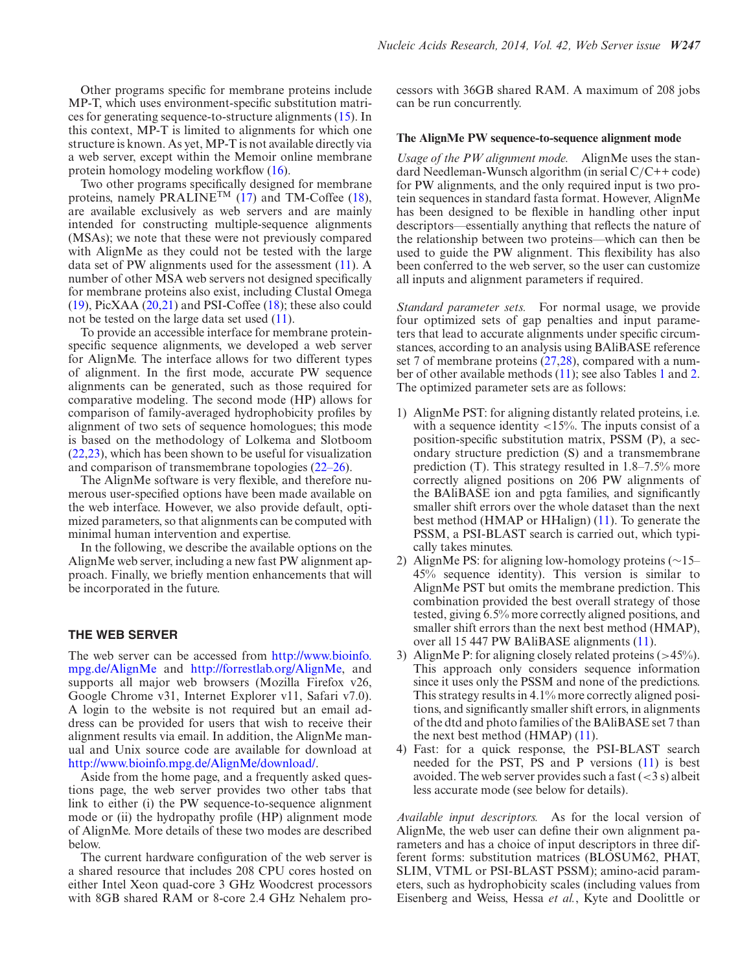Other programs specific for membrane proteins include MP-T, which uses environment-specific substitution matrices for generating sequence-to-structure alignments [\(15\)](#page-4-0). In this context, MP-T is limited to alignments for which one structure is known. As yet, MP-T is not available directly via a web server, except within the Memoir online membrane protein homology modeling workflow [\(16\)](#page-5-0).

Two other programs specifically designed for membrane proteins, namely PRALINE<sup>TM</sup> [\(17\)](#page-5-0) and TM-Coffee [\(18\)](#page-5-0), are available exclusively as web servers and are mainly intended for constructing multiple-sequence alignments (MSAs); we note that these were not previously compared with AlignMe as they could not be tested with the large data set of PW alignments used for the assessment [\(11\)](#page-4-0). A number of other MSA web servers not designed specifically for membrane proteins also exist, including Clustal Omega [\(19\)](#page-5-0), PicXAA [\(20,21\)](#page-5-0) and PSI-Coffee [\(18\)](#page-5-0); these also could not be tested on the large data set used  $(11)$ .

To provide an accessible interface for membrane proteinspecific sequence alignments, we developed a web server for AlignMe. The interface allows for two different types of alignment. In the first mode, accurate PW sequence alignments can be generated, such as those required for comparative modeling. The second mode (HP) allows for comparison of family-averaged hydrophobicity profiles by alignment of two sets of sequence homologues; this mode is based on the methodology of Lolkema and Slotboom [\(22,23\)](#page-5-0), which has been shown to be useful for visualization and comparison of transmembrane topologies [\(22–26\)](#page-5-0).

The AlignMe software is very flexible, and therefore numerous user-specified options have been made available on the web interface. However, we also provide default, optimized parameters, so that alignments can be computed with minimal human intervention and expertise.

In the following, we describe the available options on the AlignMe web server, including a new fast PW alignment approach. Finally, we briefly mention enhancements that will be incorporated in the future.

# **THE WEB SERVER**

[The web server can be accessed from](http://www.bioinfo.mpg.de/AlignMe) http://www.bioinfo. mpg.de/AlignMe and [http://forrestlab.org/AlignMe,](http://forrestlab.org/AlignMe/) and supports all major web browsers (Mozilla Firefox v26, Google Chrome v31, Internet Explorer v11, Safari v7.0). A login to the website is not required but an email address can be provided for users that wish to receive their alignment results via email. In addition, the AlignMe manual and Unix source code are available for download at [http://www.bioinfo.mpg.de/AlignMe/download/.](http://www.bioinfo.mpg.de/AlignMe/download/)

Aside from the home page, and a frequently asked questions page, the web server provides two other tabs that link to either (i) the PW sequence-to-sequence alignment mode or (ii) the hydropathy profile (HP) alignment mode of AlignMe. More details of these two modes are described below.

The current hardware configuration of the web server is a shared resource that includes 208 CPU cores hosted on either Intel Xeon quad-core 3 GHz Woodcrest processors with 8GB shared RAM or 8-core 2.4 GHz Nehalem processors with 36GB shared RAM. A maximum of 208 jobs can be run concurrently.

#### **The AlignMe PW sequence-to-sequence alignment mode**

*Usage of the PW alignment mode.* AlignMe uses the standard Needleman-Wunsch algorithm (in serial  $C/C++code$ ) for PW alignments, and the only required input is two protein sequences in standard fasta format. However, AlignMe has been designed to be flexible in handling other input descriptors––essentially anything that reflects the nature of the relationship between two proteins––which can then be used to guide the PW alignment. This flexibility has also been conferred to the web server, so the user can customize all inputs and alignment parameters if required.

*Standard parameter sets.* For normal usage, we provide four optimized sets of gap penalties and input parameters that lead to accurate alignments under specific circumstances, according to an analysis using BAliBASE reference set 7 of membrane proteins  $(27,28)$ , compared with a number of other available methods [\(11\)](#page-4-0); see also Tables [1](#page-2-0) and [2.](#page-2-0) The optimized parameter sets are as follows:

- 1) AlignMe PST: for aligning distantly related proteins, i.e. with a sequence identity  $\langle 15^\circ \rangle$ . The inputs consist of a position-specific substitution matrix, PSSM (P), a secondary structure prediction (S) and a transmembrane prediction (T). This strategy resulted in 1.8–7.5% more correctly aligned positions on 206 PW alignments of the BAliBASE ion and pgta families, and significantly smaller shift errors over the whole dataset than the next best method (HMAP or HHalign) [\(11\)](#page-4-0). To generate the PSSM, a PSI-BLAST search is carried out, which typically takes minutes.
- 2) AlignMe PS: for aligning low-homology proteins (∼15– 45% sequence identity). This version is similar to AlignMe PST but omits the membrane prediction. This combination provided the best overall strategy of those tested, giving 6.5% more correctly aligned positions, and smaller shift errors than the next best method (HMAP), over all 15 447 PW BAliBASE alignments [\(11\)](#page-4-0).
- 3) AlignMe P: for aligning closely related proteins  $($ >45%). This approach only considers sequence information since it uses only the PSSM and none of the predictions. This strategy results in 4.1% more correctly aligned positions, and significantly smaller shift errors, in alignments of the dtd and photo families of the BAliBASE set 7 than the next best method (HMAP) [\(11\)](#page-4-0).
- 4) Fast: for a quick response, the PSI-BLAST search needed for the PST, PS and P versions [\(11\)](#page-4-0) is best avoided. The web server provides such a fast  $(<3 s)$  albeit less accurate mode (see below for details).

*Available input descriptors.* As for the local version of AlignMe, the web user can define their own alignment parameters and has a choice of input descriptors in three different forms: substitution matrices (BLOSUM62, PHAT, SLIM, VTML or PSI-BLAST PSSM); amino-acid parameters, such as hydrophobicity scales (including values from Eisenberg and Weiss, Hessa *et al.*, Kyte and Doolittle or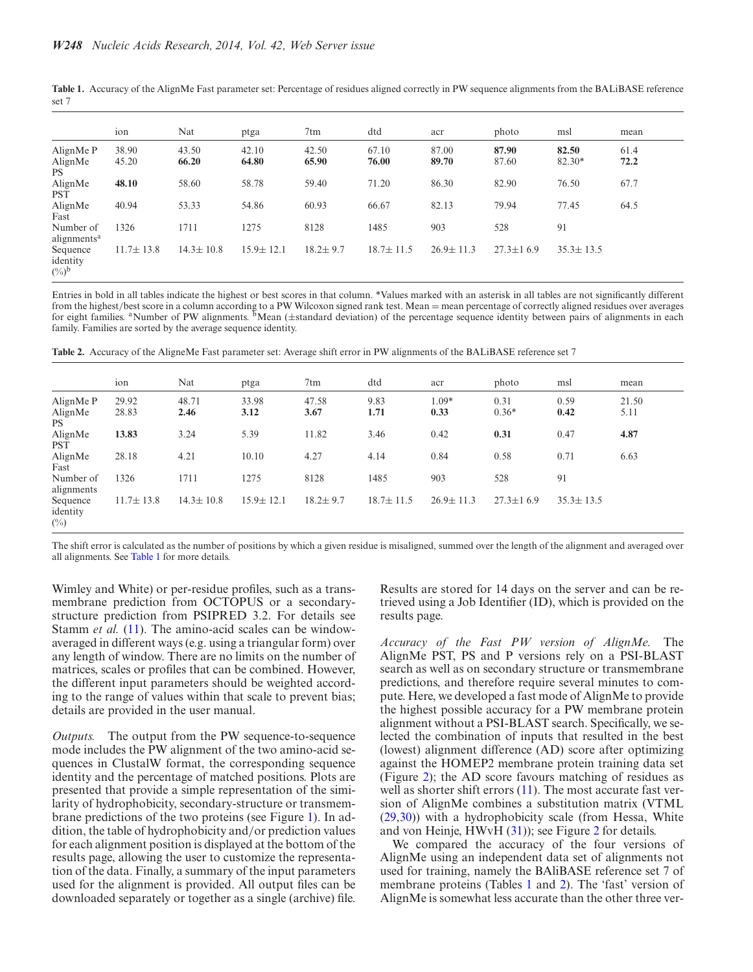|                                              | ion             | Nat             | ptga            | 7tm            | dtd             | acr             | photo           | msl             | mean |
|----------------------------------------------|-----------------|-----------------|-----------------|----------------|-----------------|-----------------|-----------------|-----------------|------|
| AlignMe P                                    | 38.90           | 43.50           | 42.10           | 42.50          | 67.10           | 87.00           | 87.90           | 82.50           | 61.4 |
| AlignMe<br><b>PS</b>                         | 45.20           | 66.20           | 64.80           | 65.90          | 76.00           | 89.70           | 87.60           | $82.30*$        | 72.2 |
| AlignMe<br><b>PST</b>                        | 48.10           | 58.60           | 58.78           | 59.40          | 71.20           | 86.30           | 82.90           | 76.50           | 67.7 |
| AlignMe<br>Fast                              | 40.94           | 53.33           | 54.86           | 60.93          | 66.67           | 82.13           | 79.94           | 77.45           | 64.5 |
| Number of<br>alignments <sup>a</sup>         | 1326            | 1711            | 1275            | 8128           | 1485            | 903             | 528             | 91              |      |
| Sequence<br>identity<br>$(^{0}_{0})^{\rm b}$ | $11.7 \pm 13.8$ | $14.3 \pm 10.8$ | $15.9 \pm 12.1$ | $18.2 \pm 9.7$ | $18.7 \pm 11.5$ | $26.9 \pm 11.3$ | $27.3 \pm 16.9$ | $35.3 \pm 13.5$ |      |

<span id="page-2-0"></span>Table 1. Accuracy of the AlignMe Fast parameter set: Percentage of residues aligned correctly in PW sequence alignments from the BALiBASE reference set 7

Entries in bold in all tables indicate the highest or best scores in that column. \*Values marked with an asterisk in all tables are not significantly different from the highest/best score in a column according to a PW Wilcoxon signed rank test. Mean = mean percentage of correctly aligned residues over averages<br>for eight families. <sup>a</sup>Number of PW alignments. <sup>b</sup>Mean (±standard dev family. Families are sorted by the average sequence identity.

**Table 2.** Accuracy of the AligneMe Fast parameter set: Average shift error in PW alignments of the BALiBASE reference set 7

|                                   | ion             | Nat             | ptga            | 7tm            | dtd             | acr             | photo           | msl             | mean          |
|-----------------------------------|-----------------|-----------------|-----------------|----------------|-----------------|-----------------|-----------------|-----------------|---------------|
| AlignMe P<br>AlignMe<br><b>PS</b> | 29.92<br>28.83  | 48.71<br>2.46   | 33.98<br>3.12   | 47.58<br>3.67  | 9.83<br>1.71    | $1.09*$<br>0.33 | 0.31<br>$0.36*$ | 0.59<br>0.42    | 21.50<br>5.11 |
| AlignMe<br><b>PST</b>             | 13.83           | 3.24            | 5.39            | 11.82          | 3.46            | 0.42            | 0.31            | 0.47            | 4.87          |
| AlignMe<br>Fast                   | 28.18           | 4.21            | 10.10           | 4.27           | 4.14            | 0.84            | 0.58            | 0.71            | 6.63          |
| Number of<br>alignments           | 1326            | 1711            | 1275            | 8128           | 1485            | 903             | 528             | 91              |               |
| Sequence<br>identity<br>$(\%)$    | $11.7 \pm 13.8$ | $14.3 \pm 10.8$ | $15.9 \pm 12.1$ | $18.2 \pm 9.7$ | $18.7 \pm 11.5$ | $26.9 \pm 11.3$ | $27.3 \pm 16.9$ | $35.3 \pm 13.5$ |               |

The shift error is calculated as the number of positions by which a given residue is misaligned, summed over the length of the alignment and averaged over all alignments. See Table 1 for more details.

Wimley and White) or per-residue profiles, such as a transmembrane prediction from OCTOPUS or a secondarystructure prediction from PSIPRED 3.2. For details see Stamm *et al.* [\(11\)](#page-4-0). The amino-acid scales can be windowaveraged in different ways (e.g. using a triangular form) over any length of window. There are no limits on the number of matrices, scales or profiles that can be combined. However, the different input parameters should be weighted according to the range of values within that scale to prevent bias; details are provided in the user manual.

*Outputs.* The output from the PW sequence-to-sequence mode includes the PW alignment of the two amino-acid sequences in ClustalW format, the corresponding sequence identity and the percentage of matched positions. Plots are presented that provide a simple representation of the similarity of hydrophobicity, secondary-structure or transmembrane predictions of the two proteins (see Figure [1\)](#page-3-0). In addition, the table of hydrophobicity and/or prediction values for each alignment position is displayed at the bottom of the results page, allowing the user to customize the representation of the data. Finally, a summary of the input parameters used for the alignment is provided. All output files can be downloaded separately or together as a single (archive) file.

Results are stored for 14 days on the server and can be retrieved using a Job Identifier (ID), which is provided on the results page.

*Accuracy of the Fast PW version of AlignMe.* The AlignMe PST, PS and P versions rely on a PSI-BLAST search as well as on secondary structure or transmembrane predictions, and therefore require several minutes to compute. Here, we developed a fast mode of AlignMe to provide the highest possible accuracy for a PW membrane protein alignment without a PSI-BLAST search. Specifically, we selected the combination of inputs that resulted in the best (lowest) alignment difference (AD) score after optimizing against the HOMEP2 membrane protein training data set (Figure [2\)](#page-3-0); the AD score favours matching of residues as well as shorter shift errors [\(11\)](#page-4-0). The most accurate fast version of AlignMe combines a substitution matrix (VTML [\(29,30\)](#page-5-0)) with a hydrophobicity scale (from Hessa, White and von Heinje, HWvH [\(31\)](#page-5-0)); see Figure [2](#page-3-0) for details.

We compared the accuracy of the four versions of AlignMe using an independent data set of alignments not used for training, namely the BAliBASE reference set 7 of membrane proteins (Tables 1 and 2). The 'fast' version of AlignMe is somewhat less accurate than the other three ver-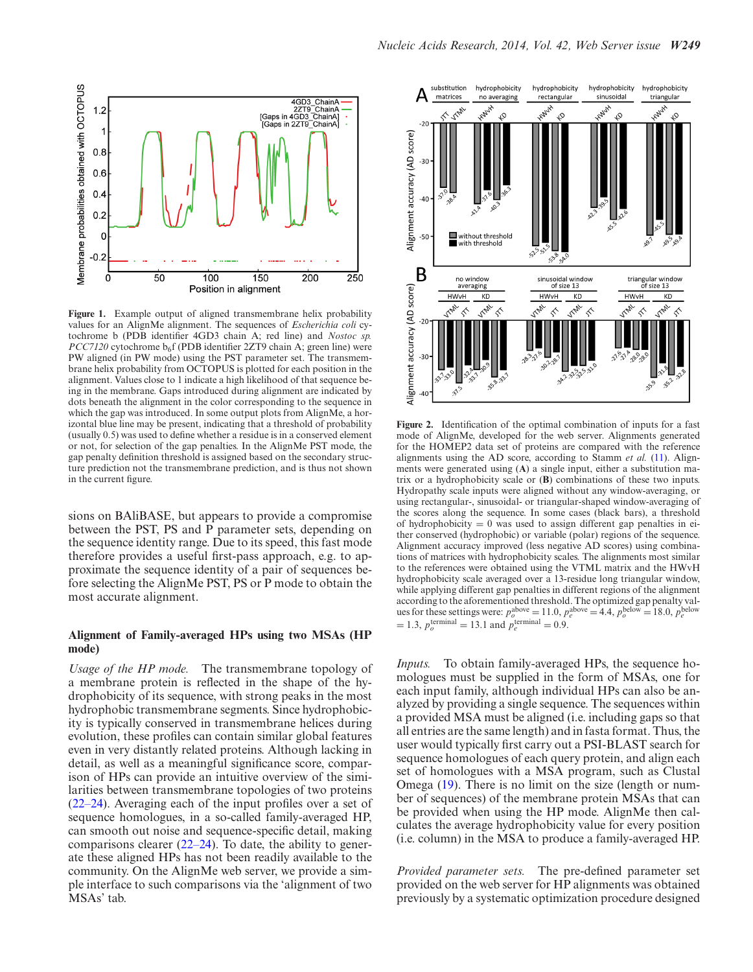<span id="page-3-0"></span>

**Figure 1.** Example output of aligned transmembrane helix probability values for an AlignMe alignment. The sequences of *Escherichia coli* cytochrome b (PDB identifier 4GD3 chain A; red line) and *Nostoc sp. PCC7120* cytochrome  $b_6f$  (PDB identifier 2ZT9 chain A; green line) were PW aligned (in PW mode) using the PST parameter set. The transmembrane helix probability from OCTOPUS is plotted for each position in the alignment. Values close to 1 indicate a high likelihood of that sequence being in the membrane. Gaps introduced during alignment are indicated by dots beneath the alignment in the color corresponding to the sequence in which the gap was introduced. In some output plots from AlignMe, a horizontal blue line may be present, indicating that a threshold of probability (usually 0.5) was used to define whether a residue is in a conserved element or not, for selection of the gap penalties. In the AlignMe PST mode, the gap penalty definition threshold is assigned based on the secondary structure prediction not the transmembrane prediction, and is thus not shown in the current figure.

sions on BAliBASE, but appears to provide a compromise between the PST, PS and P parameter sets, depending on the sequence identity range. Due to its speed, this fast mode therefore provides a useful first-pass approach, e.g. to approximate the sequence identity of a pair of sequences before selecting the AlignMe PST, PS or P mode to obtain the most accurate alignment.

#### **Alignment of Family-averaged HPs using two MSAs (HP mode)**

*Usage of the HP mode.* The transmembrane topology of a membrane protein is reflected in the shape of the hydrophobicity of its sequence, with strong peaks in the most hydrophobic transmembrane segments. Since hydrophobicity is typically conserved in transmembrane helices during evolution, these profiles can contain similar global features even in very distantly related proteins. Although lacking in detail, as well as a meaningful significance score, comparison of HPs can provide an intuitive overview of the similarities between transmembrane topologies of two proteins [\(22–24\)](#page-5-0). Averaging each of the input profiles over a set of sequence homologues, in a so-called family-averaged HP, can smooth out noise and sequence-specific detail, making comparisons clearer  $(22-24)$ . To date, the ability to generate these aligned HPs has not been readily available to the community. On the AlignMe web server, we provide a simple interface to such comparisons via the 'alignment of two MSAs' tab.



**Figure 2.** Identification of the optimal combination of inputs for a fast mode of AlignMe, developed for the web server. Alignments generated for the HOMEP2 data set of proteins are compared with the reference alignments using the AD score, according to Stamm *et al.* [\(11\)](#page-4-0). Alignments were generated using (**A**) a single input, either a substitution matrix or a hydrophobicity scale or (**B**) combinations of these two inputs. Hydropathy scale inputs were aligned without any window-averaging, or using rectangular-, sinusoidal- or triangular-shaped window-averaging of the scores along the sequence. In some cases (black bars), a threshold of hydrophobicity  $= 0$  was used to assign different gap penalties in either conserved (hydrophobic) or variable (polar) regions of the sequence. Alignment accuracy improved (less negative AD scores) using combinations of matrices with hydrophobicity scales. The alignments most similar to the references were obtained using the VTML matrix and the HWvH hydrophobicity scale averaged over a 13-residue long triangular window, while applying different gap penalties in different regions of the alignment according to the aforementioned threshold. The optimized gap penalty values for these settings were:  $p_o^{\text{above}} = 11.0$ ,  $p_e^{\text{above}} = 4.4$ ,  $p_o^{\text{below}} = 18.0$ ,  $p_e^{\text{below}} = 1.3$ ,  $p_o^{\text{terminal}} = 13.1$  and  $p_e^{\text{terminal}} = 0.9$ .

*Inputs.* To obtain family-averaged HPs, the sequence homologues must be supplied in the form of MSAs, one for each input family, although individual HPs can also be analyzed by providing a single sequence. The sequences within a provided MSA must be aligned (i.e. including gaps so that all entries are the same length) and in fasta format. Thus, the user would typically first carry out a PSI-BLAST search for sequence homologues of each query protein, and align each set of homologues with a MSA program, such as Clustal Omega [\(19\)](#page-5-0). There is no limit on the size (length or number of sequences) of the membrane protein MSAs that can be provided when using the HP mode. AlignMe then calculates the average hydrophobicity value for every position (i.e. column) in the MSA to produce a family-averaged HP.

*Provided parameter sets.* The pre-defined parameter set provided on the web server for HP alignments was obtained previously by a systematic optimization procedure designed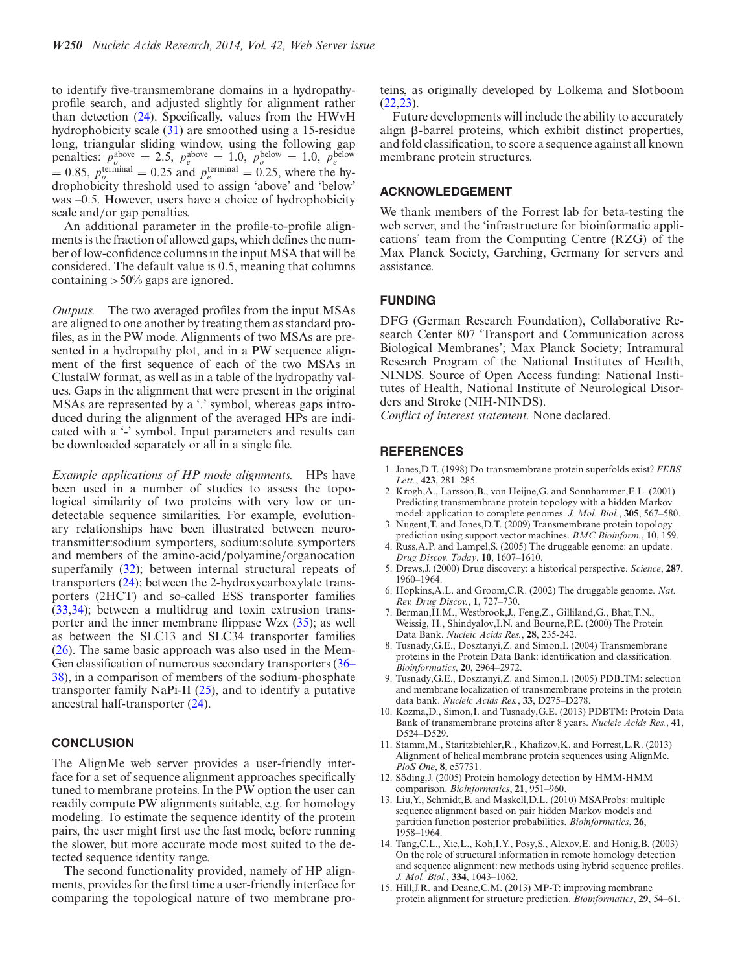<span id="page-4-0"></span>to identify five-transmembrane domains in a hydropathyprofile search, and adjusted slightly for alignment rather than detection [\(24\)](#page-5-0). Specifically, values from the HWvH hydrophobicity scale [\(31\)](#page-5-0) are smoothed using a 15-residue long, triangular sliding window, using the following gap penalties:  $p_e^{\text{above}} = 2.5$ ,  $p_e^{\text{above}} = 1.0$ ,  $p_e^{\text{below}} = 1.0$ ,  $p_e^{\text{below}} = 0.85$ ,  $p_e^{\text{terminal}} = 0.25$  and  $p_e^{\text{terminal}} = 0.25$ , where the hydrophobicity threshold used to assign 'above' and 'below' was –0.5. However, users have a choice of hydrophobicity scale and/or gap penalties.

An additional parameter in the profile-to-profile alignments is the fraction of allowed gaps, which defines the number of low-confidence columns in the input MSA that will be considered. The default value is 0.5, meaning that columns containing  $>50\%$  gaps are ignored.

*Outputs.* The two averaged profiles from the input MSAs are aligned to one another by treating them as standard profiles, as in the PW mode. Alignments of two MSAs are presented in a hydropathy plot, and in a PW sequence alignment of the first sequence of each of the two MSAs in ClustalW format, as well as in a table of the hydropathy values. Gaps in the alignment that were present in the original MSAs are represented by a '.' symbol, whereas gaps introduced during the alignment of the averaged HPs are indicated with a '-' symbol. Input parameters and results can be downloaded separately or all in a single file.

*Example applications of HP mode alignments.* HPs have been used in a number of studies to assess the topological similarity of two proteins with very low or undetectable sequence similarities. For example, evolutionary relationships have been illustrated between neurotransmitter:sodium symporters, sodium:solute symporters and members of the amino-acid/polyamine/organocation superfamily [\(32\)](#page-5-0); between internal structural repeats of transporters [\(24\)](#page-5-0); between the 2-hydroxycarboxylate transporters (2HCT) and so-called ESS transporter families [\(33,34\)](#page-5-0); between a multidrug and toxin extrusion transporter and the inner membrane flippase Wzx [\(35\)](#page-5-0); as well as between the SLC13 and SLC34 transporter families [\(26\)](#page-5-0). The same basic approach was also used in the Mem-Gen classification of numerous secondary transporters (36– [38\), in a comparison of members of the sodium-phosphate](#page-5-0) transporter family NaPi-II  $(25)$ , and to identify a putative ancestral half-transporter [\(24\)](#page-5-0).

# **CONCLUSION**

The AlignMe web server provides a user-friendly interface for a set of sequence alignment approaches specifically tuned to membrane proteins. In the PW option the user can readily compute PW alignments suitable, e.g. for homology modeling. To estimate the sequence identity of the protein pairs, the user might first use the fast mode, before running the slower, but more accurate mode most suited to the detected sequence identity range.

The second functionality provided, namely of HP alignments, provides for the first time a user-friendly interface for comparing the topological nature of two membrane pro-

teins, as originally developed by Lolkema and Slotboom  $(22,23)$ .

Future developments will include the ability to accurately align  $\beta$ -barrel proteins, which exhibit distinct properties, and fold classification, to score a sequence against all known membrane protein structures.

#### **ACKNOWLEDGEMENT**

We thank members of the Forrest lab for beta-testing the web server, and the 'infrastructure for bioinformatic applications' team from the Computing Centre (RZG) of the Max Planck Society, Garching, Germany for servers and assistance.

#### **FUNDING**

DFG (German Research Foundation), Collaborative Research Center 807 'Transport and Communication across Biological Membranes'; Max Planck Society; Intramural Research Program of the National Institutes of Health, NINDS. Source of Open Access funding: National Institutes of Health, National Institute of Neurological Disorders and Stroke (NIH-NINDS).

*Conflict of interest statement.* None declared.

#### **REFERENCES**

- 1. Jones,D.T. (1998) Do transmembrane protein superfolds exist? *FEBS Lett.*, **423**, 281–285.
- 2. Krogh,A., Larsson,B., von Heijne,G. and Sonnhammer,E.L. (2001) Predicting transmembrane protein topology with a hidden Markov model: application to complete genomes. *J. Mol. Biol.*, **305**, 567–580.
- 3. Nugent,T. and Jones,D.T. (2009) Transmembrane protein topology prediction using support vector machines. *BMC Bioinform.*, **10**, 159.
- 4. Russ,A.P. and Lampel,S. (2005) The druggable genome: an update. *Drug Discov. Today*, **10**, 1607–1610.
- 5. Drews,J. (2000) Drug discovery: a historical perspective. *Science*, **287**, 1960–1964.
- 6. Hopkins,A.L. and Groom,C.R. (2002) The druggable genome. *Nat. Rev. Drug Discov.*, **1**, 727–730.
- 7. Berman,H.M., Westbrook,J., Feng,Z., Gilliland,G., Bhat,T.N., Weissig, H., Shindyalov,I.N. and Bourne,P.E. (2000) The Protein Data Bank. *Nucleic Acids Res.*, **28**, 235-242.
- 8. Tusnady,G.E., Dosztanyi,Z. and Simon,I. (2004) Transmembrane proteins in the Protein Data Bank: identification and classification. *Bioinformatics*, **20**, 2964–2972.
- 9. Tusnady,G.E., Dosztanyi,Z. and Simon,I. (2005) PDB TM: selection and membrane localization of transmembrane proteins in the protein data bank. *Nucleic Acids Res.*, **33**, D275–D278.
- 10. Kozma,D., Simon,I. and Tusnady,G.E. (2013) PDBTM: Protein Data Bank of transmembrane proteins after 8 years. *Nucleic Acids Res.*, **41**, D524–D529.
- 11. Stamm,M., Staritzbichler,R., Khafizov,K. and Forrest,L.R. (2013) Alignment of helical membrane protein sequences using AlignMe. *PloS One*, **8**, e57731.
- 12. Söding, J. (2005) Protein homology detection by HMM-HMM comparison. *Bioinformatics*, **21**, 951–960.
- 13. Liu,Y., Schmidt,B. and Maskell,D.L. (2010) MSAProbs: multiple sequence alignment based on pair hidden Markov models and partition function posterior probabilities. *Bioinformatics*, **26**, 1958–1964.
- 14. Tang,C.L., Xie,L., Koh,I.Y., Posy,S., Alexov,E. and Honig,B. (2003) On the role of structural information in remote homology detection and sequence alignment: new methods using hybrid sequence profiles. *J. Mol. Biol.*, **334**, 1043–1062.
- 15. Hill,J.R. and Deane,C.M. (2013) MP-T: improving membrane protein alignment for structure prediction. *Bioinformatics*, **29**, 54–61.